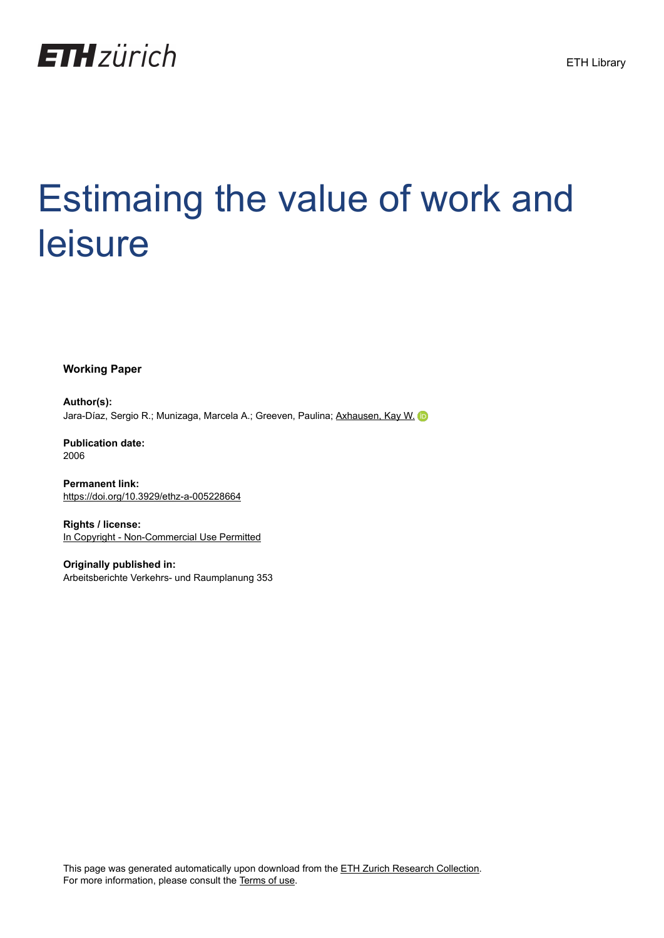

# Estimaing the value of work and leisure

**Working Paper**

**Author(s):** Jara-Díaz, Sergio R.; Munizaga, Marcela A.; Greeven, Paulina; [Axhausen, Kay W.](https://orcid.org/0000-0003-3331-1318) D

**Publication date:** 2006

**Permanent link:** <https://doi.org/10.3929/ethz-a-005228664>

**Rights / license:** [In Copyright - Non-Commercial Use Permitted](http://rightsstatements.org/page/InC-NC/1.0/)

**Originally published in:** Arbeitsberichte Verkehrs- und Raumplanung 353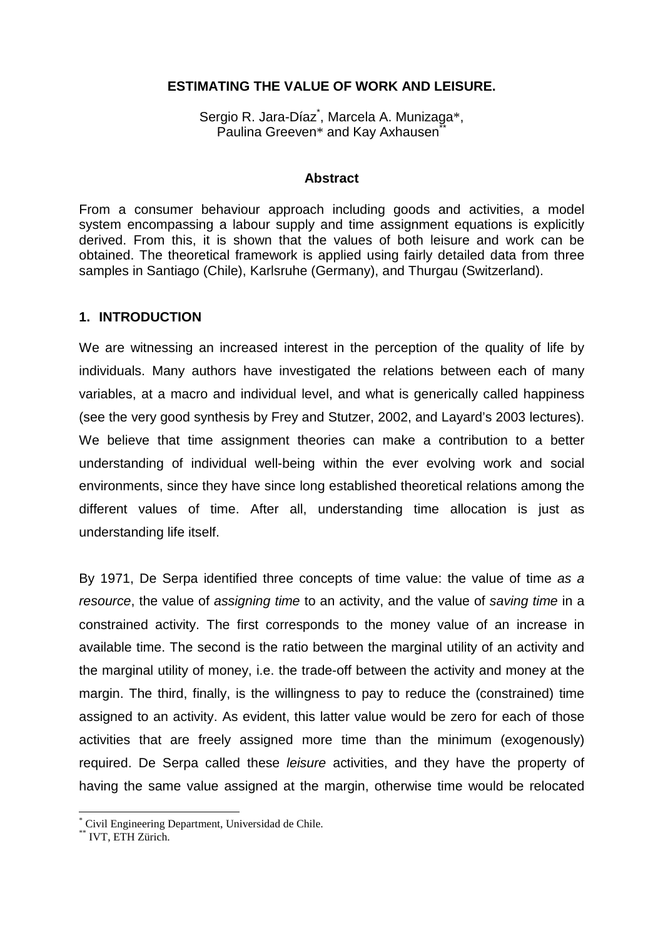#### **ESTIMATING THE VALUE OF WORK AND LEISURE.**

Sergio R. Jara-Díaz<sup>\*</sup>, Marcela A. Munizaga\*, Paulina Greeven\* and Kay Axhausen<sup>®</sup>

#### **Abstract**

From a consumer behaviour approach including goods and activities, a model system encompassing a labour supply and time assignment equations is explicitly derived. From this, it is shown that the values of both leisure and work can be obtained. The theoretical framework is applied using fairly detailed data from three samples in Santiago (Chile), Karlsruhe (Germany), and Thurgau (Switzerland).

#### **1. INTRODUCTION**

We are witnessing an increased interest in the perception of the quality of life by individuals. Many authors have investigated the relations between each of many variables, at a macro and individual level, and what is generically called happiness (see the very good synthesis by Frey and Stutzer, 2002, and Layard's 2003 lectures). We believe that time assignment theories can make a contribution to a better understanding of individual well-being within the ever evolving work and social environments, since they have since long established theoretical relations among the different values of time. After all, understanding time allocation is just as understanding life itself.

By 1971, De Serpa identified three concepts of time value: the value of time as a resource, the value of assigning time to an activity, and the value of saving time in a constrained activity. The first corresponds to the money value of an increase in available time. The second is the ratio between the marginal utility of an activity and the marginal utility of money, i.e. the trade-off between the activity and money at the margin. The third, finally, is the willingness to pay to reduce the (constrained) time assigned to an activity. As evident, this latter value would be zero for each of those activities that are freely assigned more time than the minimum (exogenously) required. De Serpa called these leisure activities, and they have the property of having the same value assigned at the margin, otherwise time would be relocated

 $\overline{a}$ 

<sup>\*</sup> Civil Engineering Department, Universidad de Chile.

<sup>\*\*</sup> IVT, ETH Zürich.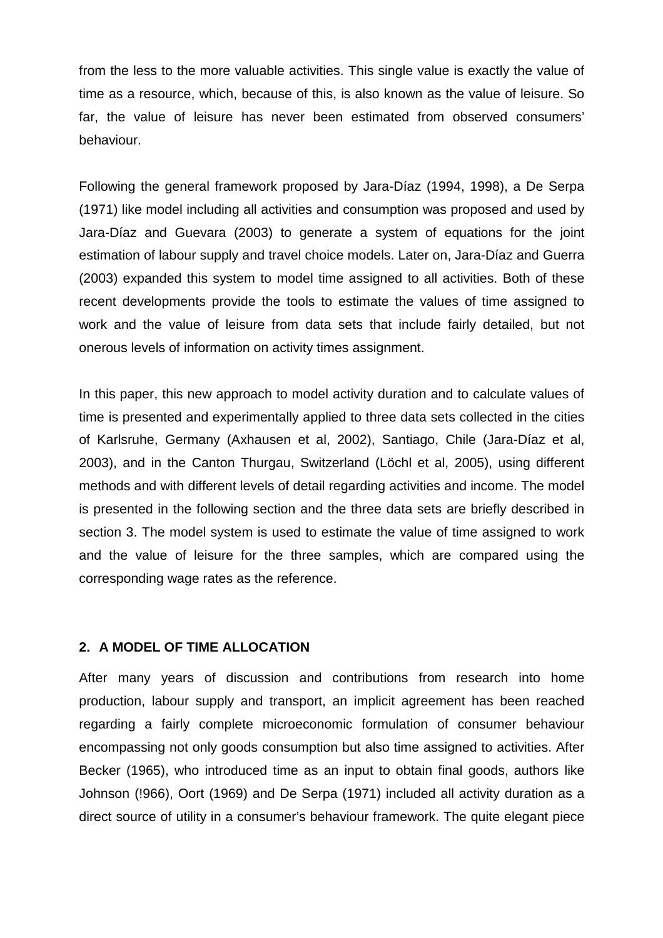from the less to the more valuable activities. This single value is exactly the value of time as a resource, which, because of this, is also known as the value of leisure. So far, the value of leisure has never been estimated from observed consumers' behaviour.

Following the general framework proposed by Jara-Díaz (1994, 1998), a De Serpa (1971) like model including all activities and consumption was proposed and used by Jara-Díaz and Guevara (2003) to generate a system of equations for the joint estimation of labour supply and travel choice models. Later on, Jara-Díaz and Guerra (2003) expanded this system to model time assigned to all activities. Both of these recent developments provide the tools to estimate the values of time assigned to work and the value of leisure from data sets that include fairly detailed, but not onerous levels of information on activity times assignment.

In this paper, this new approach to model activity duration and to calculate values of time is presented and experimentally applied to three data sets collected in the cities of Karlsruhe, Germany (Axhausen et al, 2002), Santiago, Chile (Jara-Díaz et al, 2003), and in the Canton Thurgau, Switzerland (Löchl et al, 2005), using different methods and with different levels of detail regarding activities and income. The model is presented in the following section and the three data sets are briefly described in section 3. The model system is used to estimate the value of time assigned to work and the value of leisure for the three samples, which are compared using the corresponding wage rates as the reference.

#### **2. A MODEL OF TIME ALLOCATION**

After many years of discussion and contributions from research into home production, labour supply and transport, an implicit agreement has been reached regarding a fairly complete microeconomic formulation of consumer behaviour encompassing not only goods consumption but also time assigned to activities. After Becker (1965), who introduced time as an input to obtain final goods, authors like Johnson (!966), Oort (1969) and De Serpa (1971) included all activity duration as a direct source of utility in a consumer's behaviour framework. The quite elegant piece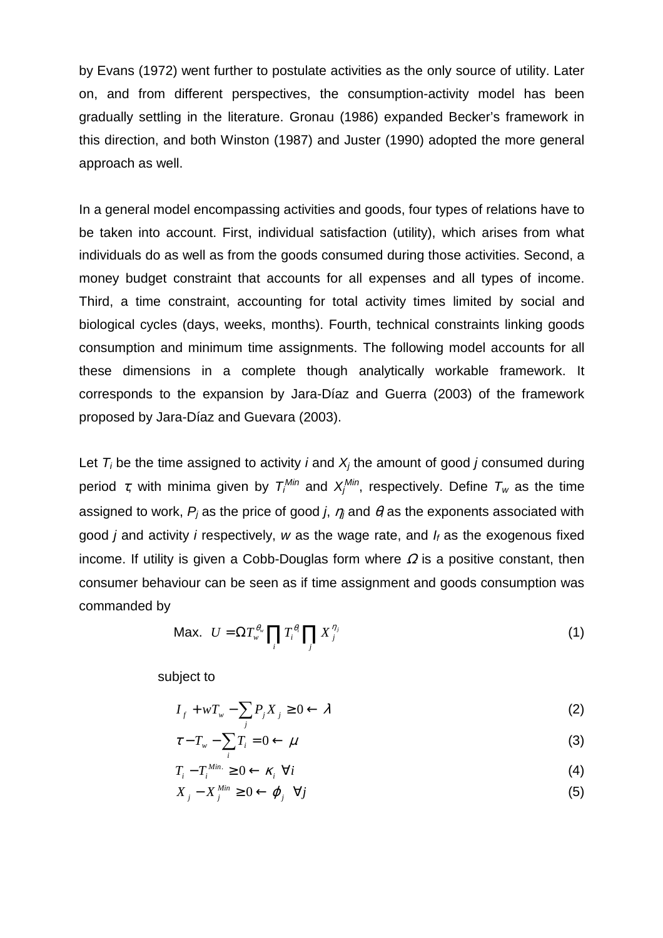by Evans (1972) went further to postulate activities as the only source of utility. Later on, and from different perspectives, the consumption-activity model has been gradually settling in the literature. Gronau (1986) expanded Becker's framework in this direction, and both Winston (1987) and Juster (1990) adopted the more general approach as well.

In a general model encompassing activities and goods, four types of relations have to be taken into account. First, individual satisfaction (utility), which arises from what individuals do as well as from the goods consumed during those activities. Second, a money budget constraint that accounts for all expenses and all types of income. Third, a time constraint, accounting for total activity times limited by social and biological cycles (days, weeks, months). Fourth, technical constraints linking goods consumption and minimum time assignments. The following model accounts for all these dimensions in a complete though analytically workable framework. It corresponds to the expansion by Jara-Díaz and Guerra (2003) of the framework proposed by Jara-Díaz and Guevara (2003).

Let  $T_i$  be the time assigned to activity *i* and  $X_i$  the amount of good *j* consumed during period τ, with minima given by  $T_i^{\textit{Min}}$  and  $X_i^{\textit{Min}}$ , respectively. Define  $T_w$  as the time assigned to work,  $P_i$  as the price of good j,  $\eta_i$  and  $\theta_i$  as the exponents associated with good *j* and activity *i* respectively, *w* as the wage rate, and  $I_f$  as the exogenous fixed income. If utility is given a Cobb-Douglas form where  $\Omega$  is a positive constant, then consumer behaviour can be seen as if time assignment and goods consumption was commanded by

$$
\text{Max. } U = \Omega T_{w}^{\theta_{w}} \prod_{i} T_{i}^{\theta_{i}} \prod_{j} X_{j}^{\eta_{j}} \tag{1}
$$

subject to

$$
I_f + wT_w - \sum_j P_j X_j \ge 0 \leftarrow \lambda
$$
 (2)

$$
\tau - T_w - \sum_i T_i = 0 \leftarrow \mu \tag{3}
$$

$$
T_i - T_i^{\text{Min.}} \geq 0 \leftarrow \kappa_i \ \forall i \tag{4}
$$

 $X_j - X_j^{Min} \geq 0 \leftarrow \varphi_j \quad \forall j$  $\phi_j - X_j^{Min} \ge 0 \leftarrow \varphi_j \quad \forall j$  (5)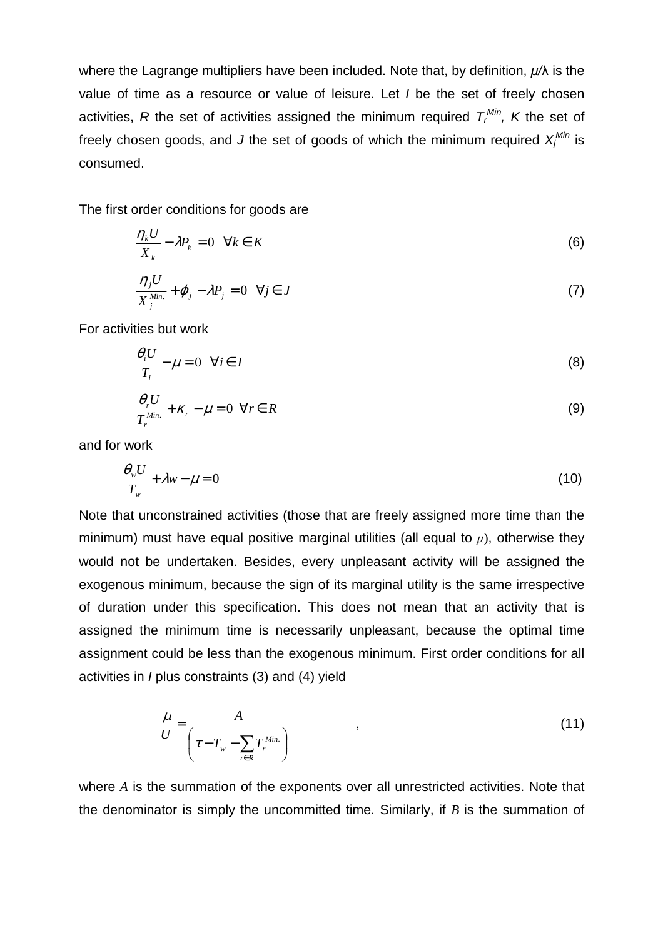where the Lagrange multipliers have been included. Note that, by definition,  $\mu/\lambda$  is the value of time as a resource or value of leisure. Let I be the set of freely chosen activities, R the set of activities assigned the minimum required  $T_r^{Min}$ , K the set of freely chosen goods, and J the set of goods of which the minimum required  $X_j^{Min}$  is consumed.

The first order conditions for goods are

$$
\frac{\eta_k U}{X_k} - \lambda P_k = 0 \quad \forall k \in K \tag{6}
$$

$$
\frac{\eta_j U}{X_j^{Min.}} + \varphi_j - \lambda P_j = 0 \quad \forall j \in J
$$
\n(7)

For activities but work

$$
\frac{\theta_i U}{T_i} - \mu = 0 \quad \forall i \in I
$$
 (8)

$$
\frac{\theta_r U}{T_r^{Min.}} + \kappa_r - \mu = 0 \quad \forall r \in R
$$
\n(9)

and for work

$$
\frac{\theta_{w}U}{T_{w}} + \lambda w - \mu = 0
$$
\n(10)

Note that unconstrained activities (those that are freely assigned more time than the minimum) must have equal positive marginal utilities (all equal to  $\mu$ ), otherwise they would not be undertaken. Besides, every unpleasant activity will be assigned the exogenous minimum, because the sign of its marginal utility is the same irrespective of duration under this specification. This does not mean that an activity that is assigned the minimum time is necessarily unpleasant, because the optimal time assignment could be less than the exogenous minimum. First order conditions for all activities in I plus constraints (3) and (4) yield

$$
\frac{\mu}{U} = \frac{A}{\left(\tau - T_w - \sum_{r \in R} T_r^{\text{Min.}}\right)}
$$
\n(11)

where *A* is the summation of the exponents over all unrestricted activities. Note that the denominator is simply the uncommitted time. Similarly, if *B* is the summation of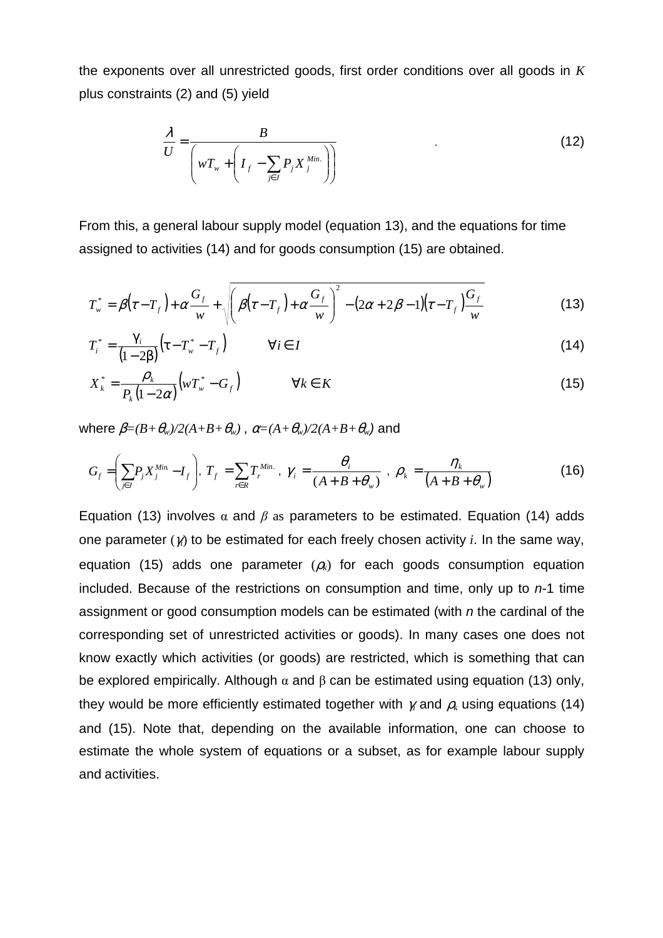the exponents over all unrestricted goods, first order conditions over all goods in *K* plus constraints (2) and (5) yield

$$
\frac{\lambda}{U} = \frac{B}{\left(wT_w + \left(I_f - \sum_{j \in J} P_j X_j^{Min.}\right)\right)}
$$
(12)

From this, a general labour supply model (equation 13), and the equations for time assigned to activities (14) and for goods consumption (15) are obtained.

$$
T_w^* = \beta(\tau - T_f) + \alpha \frac{G_f}{w} + \sqrt{\beta(\tau - T_f) + \alpha \frac{G_f}{w}}^2 - (2\alpha + 2\beta - 1)(\tau - T_f) \frac{G_f}{w}
$$
(13)

$$
T_i^* = \frac{\gamma_i}{(1-2\beta)} \left( \tau - T_w^* - T_f \right) \qquad \forall i \in I
$$
\n(14)

$$
X_k^* = \frac{\rho_k}{P_k(1 - 2\alpha)} \Big( w T_w^* - G_f \Big) \qquad \forall k \in K
$$
\n(15)

where  $\beta = (B + \theta_w)/2(A+B+\theta_w)$ ,  $\alpha = (A + \theta_w)/2(A+B+\theta_w)$  and

$$
G_f = \left(\sum_{j\in J} P_j X_j^{\text{Min}} - I_f\right), T_f = \sum_{r\in R} T_r^{\text{Min.}}, \gamma_i = \frac{\theta_i}{\left(A + B + \theta_w\right)}, \ \rho_k = \frac{\eta_k}{\left(A + B + \theta_w\right)}
$$
(16)

Equation (13) involves  $\alpha$  and  $\beta$  as parameters to be estimated. Equation (14) adds one parameter (γ*i*) to be estimated for each freely chosen activity *i*. In the same way, equation (15) adds one parameter  $(\rho_k)$  for each goods consumption equation included. Because of the restrictions on consumption and time, only up to  $n-1$  time assignment or good consumption models can be estimated (with n the cardinal of the corresponding set of unrestricted activities or goods). In many cases one does not know exactly which activities (or goods) are restricted, which is something that can be explored empirically. Although  $\alpha$  and  $\beta$  can be estimated using equation (13) only, they would be more efficiently estimated together with  $\gamma_i$  and  $\rho_k$  using equations (14) and (15). Note that, depending on the available information, one can choose to estimate the whole system of equations or a subset, as for example labour supply and activities.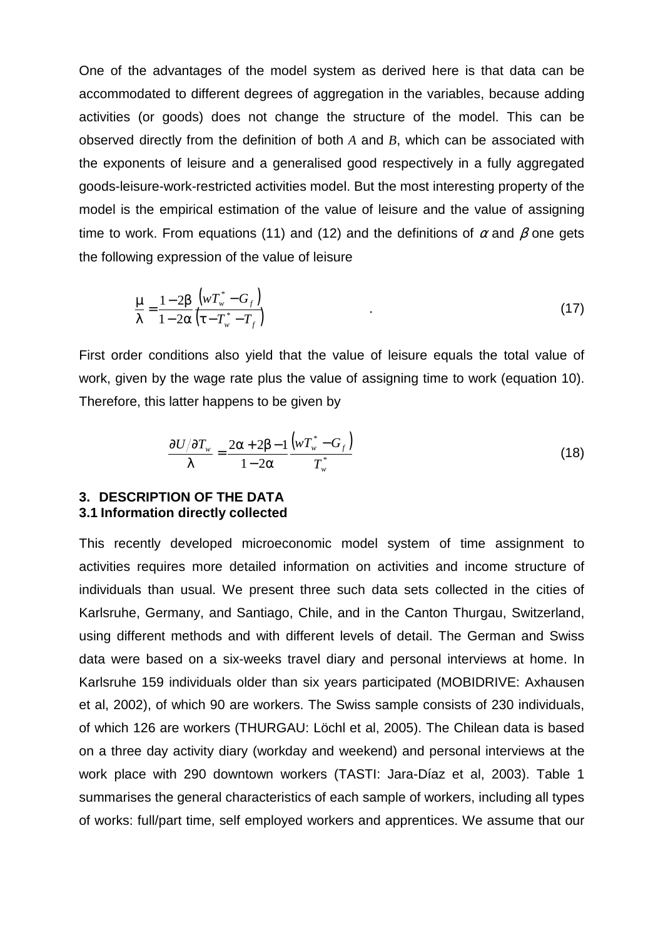One of the advantages of the model system as derived here is that data can be accommodated to different degrees of aggregation in the variables, because adding activities (or goods) does not change the structure of the model. This can be observed directly from the definition of both *A* and *B*, which can be associated with the exponents of leisure and a generalised good respectively in a fully aggregated goods-leisure-work-restricted activities model. But the most interesting property of the model is the empirical estimation of the value of leisure and the value of assigning time to work. From equations (11) and (12) and the definitions of  $\alpha$  and  $\beta$  one gets the following expression of the value of leisure

$$
\frac{\mu}{\lambda} = \frac{1 - 2\beta}{1 - 2\alpha} \frac{\left(wT_w^* - G_f\right)}{\left(\tau - T_w^* - T_f\right)}
$$
\n(17)

First order conditions also yield that the value of leisure equals the total value of work, given by the wage rate plus the value of assigning time to work (equation 10). Therefore, this latter happens to be given by

$$
\frac{\partial U/\partial T_{w}}{\lambda} = \frac{2\alpha + 2\beta - 1}{1 - 2\alpha} \frac{\left(wT_{w}^{*} - G_{f}\right)}{T_{w}^{*}}
$$
(18)

#### **3. DESCRIPTION OF THE DATA 3.1 Information directly collected**

This recently developed microeconomic model system of time assignment to activities requires more detailed information on activities and income structure of individuals than usual. We present three such data sets collected in the cities of Karlsruhe, Germany, and Santiago, Chile, and in the Canton Thurgau, Switzerland, using different methods and with different levels of detail. The German and Swiss data were based on a six-weeks travel diary and personal interviews at home. In Karlsruhe 159 individuals older than six years participated (MOBIDRIVE: Axhausen et al, 2002), of which 90 are workers. The Swiss sample consists of 230 individuals, of which 126 are workers (THURGAU: Löchl et al, 2005). The Chilean data is based on a three day activity diary (workday and weekend) and personal interviews at the work place with 290 downtown workers (TASTI: Jara-Díaz et al, 2003). Table 1 summarises the general characteristics of each sample of workers, including all types of works: full/part time, self employed workers and apprentices. We assume that our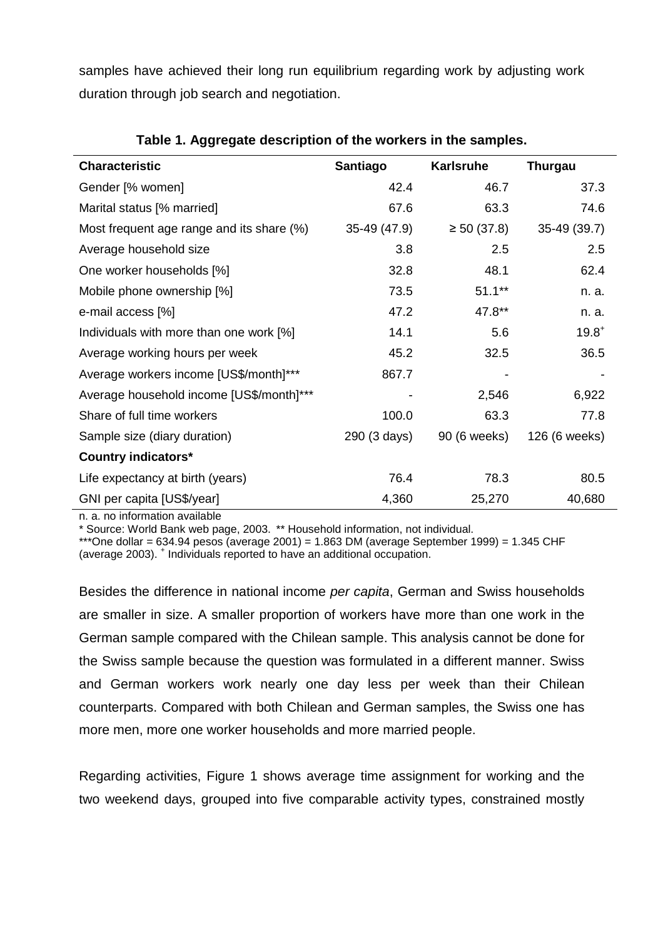samples have achieved their long run equilibrium regarding work by adjusting work duration through job search and negotiation.

| <b>Characteristic</b>                     | Santiago     | <b>Karlsruhe</b> | Thurgau       |
|-------------------------------------------|--------------|------------------|---------------|
| Gender [% women]                          | 42.4         | 46.7             | 37.3          |
| Marital status [% married]                | 67.6         | 63.3             | 74.6          |
| Most frequent age range and its share (%) | 35-49 (47.9) | $\geq 50$ (37.8) | 35-49 (39.7)  |
| Average household size                    | 3.8          | 2.5              | 2.5           |
| One worker households [%]                 | 32.8         | 48.1             | 62.4          |
| Mobile phone ownership [%]                | 73.5         | $51.1***$        | n. a.         |
| e-mail access [%]                         | 47.2         | 47.8**           | n. a.         |
| Individuals with more than one work [%]   | 14.1         | 5.6              | $19.8^{+}$    |
| Average working hours per week            | 45.2         | 32.5             | 36.5          |
| Average workers income [US\$/month]***    | 867.7        |                  |               |
| Average household income [US\$/month]***  |              | 2,546            | 6,922         |
| Share of full time workers                | 100.0        | 63.3             | 77.8          |
| Sample size (diary duration)              | 290 (3 days) | 90 (6 weeks)     | 126 (6 weeks) |
| <b>Country indicators*</b>                |              |                  |               |
| Life expectancy at birth (years)          | 76.4         | 78.3             | 80.5          |
| GNI per capita [US\$/year]                | 4,360        | 25,270           | 40,680        |

# **Table 1. Aggregate description of the workers in the samples.**

n. a. no information available

\* Source: World Bank web page, 2003. \*\* Household information, not individual.

\*\*\*One dollar = 634.94 pesos (average 2001) = 1.863 DM (average September 1999) = 1.345 CHF (average 2003). <sup>+</sup> Individuals reported to have an additional occupation.

Besides the difference in national income per capita, German and Swiss households are smaller in size. A smaller proportion of workers have more than one work in the German sample compared with the Chilean sample. This analysis cannot be done for the Swiss sample because the question was formulated in a different manner. Swiss and German workers work nearly one day less per week than their Chilean counterparts. Compared with both Chilean and German samples, the Swiss one has more men, more one worker households and more married people.

Regarding activities, Figure 1 shows average time assignment for working and the two weekend days, grouped into five comparable activity types, constrained mostly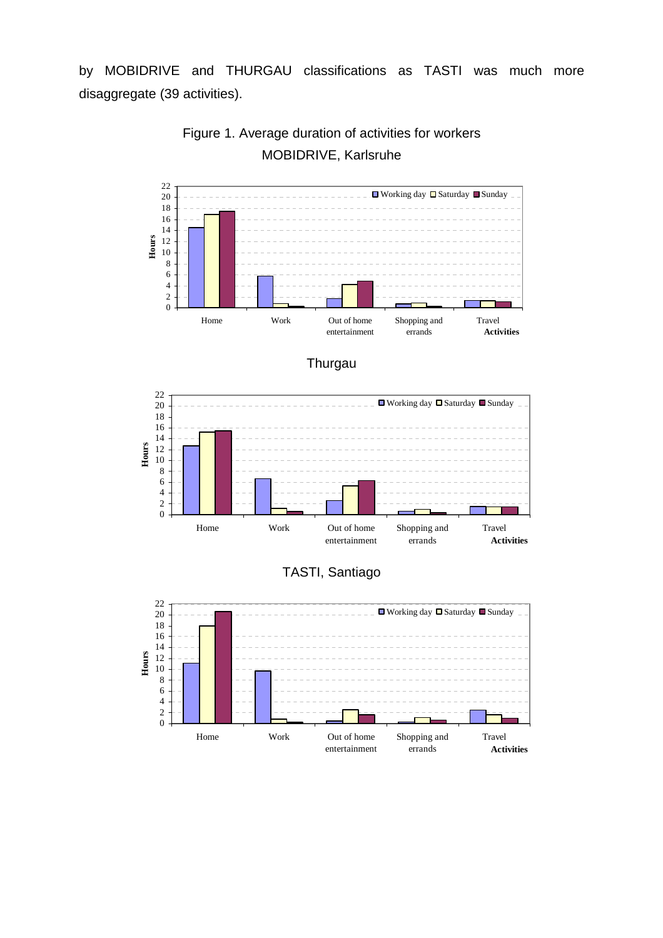by MOBIDRIVE and THURGAU classifications as TASTI was much more disaggregate (39 activities).



# Figure 1. Average duration of activities for workers MOBIDRIVE, Karlsruhe





# TASTI, Santiago

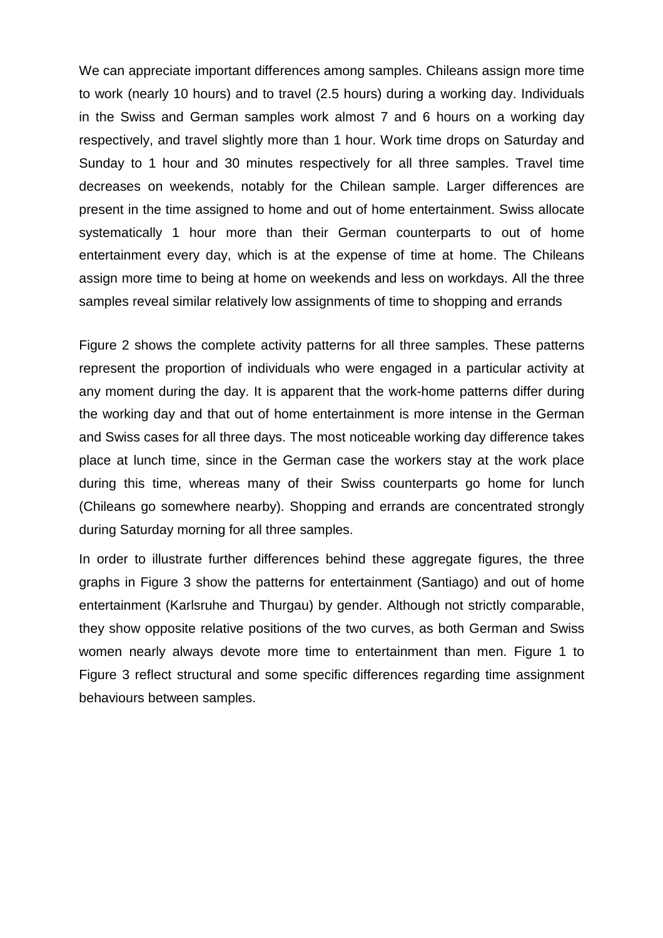We can appreciate important differences among samples. Chileans assign more time to work (nearly 10 hours) and to travel (2.5 hours) during a working day. Individuals in the Swiss and German samples work almost 7 and 6 hours on a working day respectively, and travel slightly more than 1 hour. Work time drops on Saturday and Sunday to 1 hour and 30 minutes respectively for all three samples. Travel time decreases on weekends, notably for the Chilean sample. Larger differences are present in the time assigned to home and out of home entertainment. Swiss allocate systematically 1 hour more than their German counterparts to out of home entertainment every day, which is at the expense of time at home. The Chileans assign more time to being at home on weekends and less on workdays. All the three samples reveal similar relatively low assignments of time to shopping and errands

Figure 2 shows the complete activity patterns for all three samples. These patterns represent the proportion of individuals who were engaged in a particular activity at any moment during the day. It is apparent that the work-home patterns differ during the working day and that out of home entertainment is more intense in the German and Swiss cases for all three days. The most noticeable working day difference takes place at lunch time, since in the German case the workers stay at the work place during this time, whereas many of their Swiss counterparts go home for lunch (Chileans go somewhere nearby). Shopping and errands are concentrated strongly during Saturday morning for all three samples.

In order to illustrate further differences behind these aggregate figures, the three graphs in Figure 3 show the patterns for entertainment (Santiago) and out of home entertainment (Karlsruhe and Thurgau) by gender. Although not strictly comparable, they show opposite relative positions of the two curves, as both German and Swiss women nearly always devote more time to entertainment than men. Figure 1 to Figure 3 reflect structural and some specific differences regarding time assignment behaviours between samples.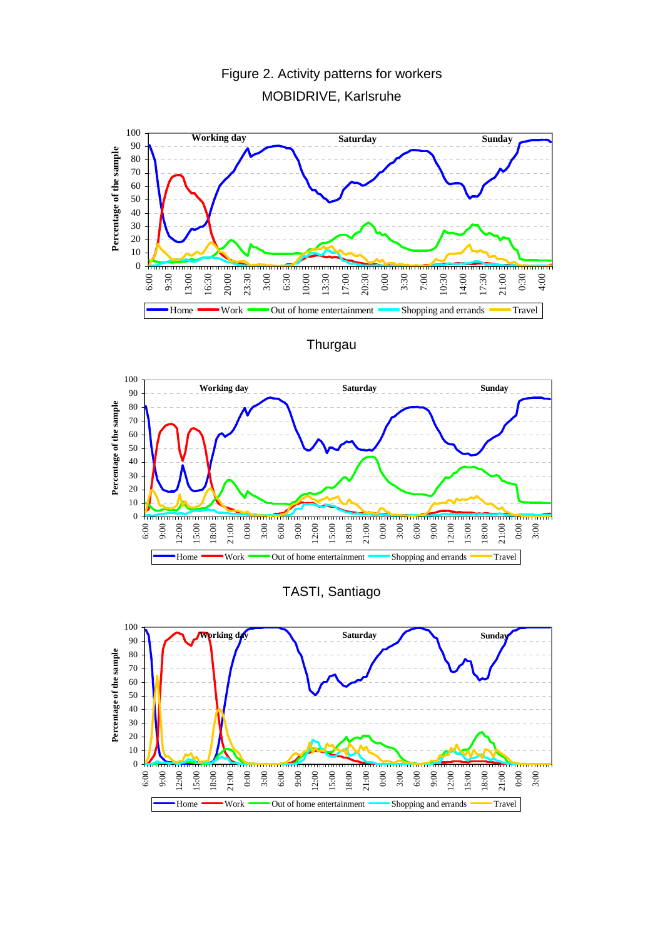

# Figure 2. Activity patterns for workers MOBIDRIVE, Karlsruhe

**Thurgau** 





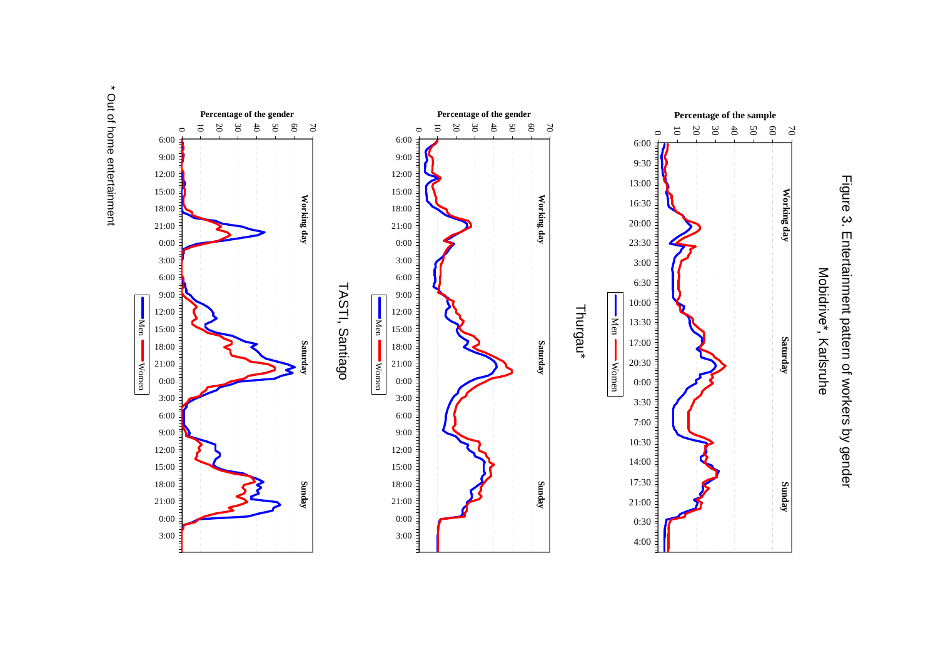\* Out of home entertainment \* Out of home entertainment



Figure 3. Entertainment pattern of workers by gender Figure 3. Entertainment pattern of workers by gender

Mobidrive\*, Karlsruhe Mobidrive\*, Karlsruhe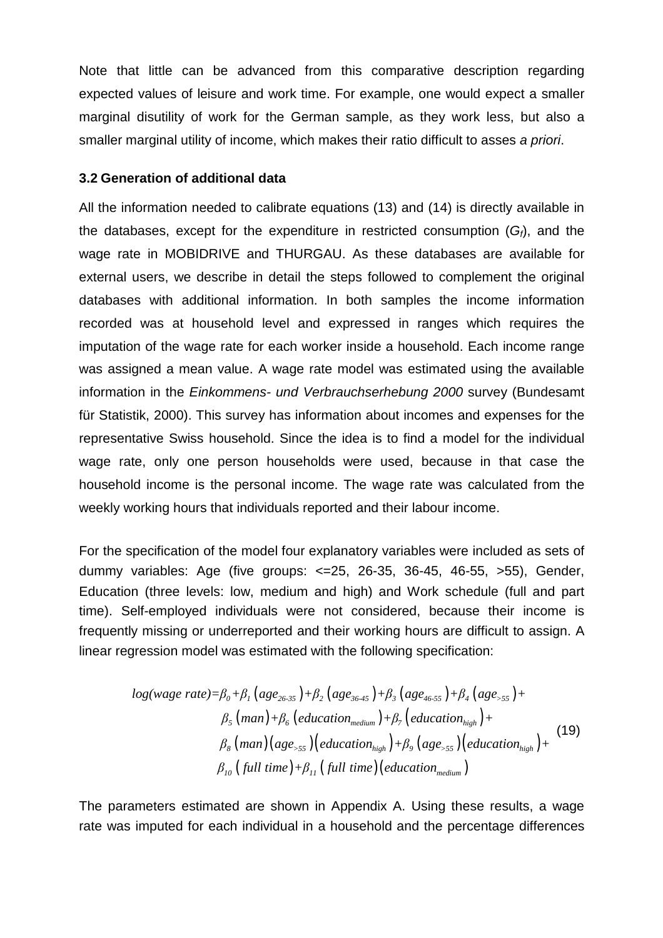Note that little can be advanced from this comparative description regarding expected values of leisure and work time. For example, one would expect a smaller marginal disutility of work for the German sample, as they work less, but also a smaller marginal utility of income, which makes their ratio difficult to asses a priori.

# **3.2 Generation of additional data**

All the information needed to calibrate equations (13) and (14) is directly available in the databases, except for the expenditure in restricted consumption  $(G_i)$ , and the wage rate in MOBIDRIVE and THURGAU. As these databases are available for external users, we describe in detail the steps followed to complement the original databases with additional information. In both samples the income information recorded was at household level and expressed in ranges which requires the imputation of the wage rate for each worker inside a household. Each income range was assigned a mean value. A wage rate model was estimated using the available information in the Einkommens- und Verbrauchserhebung 2000 survey (Bundesamt für Statistik, 2000). This survey has information about incomes and expenses for the representative Swiss household. Since the idea is to find a model for the individual wage rate, only one person households were used, because in that case the household income is the personal income. The wage rate was calculated from the weekly working hours that individuals reported and their labour income.

For the specification of the model four explanatory variables were included as sets of dummy variables: Age (five groups: <=25, 26-35, 36-45, 46-55, >55), Gender, Education (three levels: low, medium and high) and Work schedule (full and part time). Self-employed individuals were not considered, because their income is frequently missing or underreported and their working hours are difficult to assign. A linear regression model was estimated with the following specification:

$$
log(wage rate) = \beta_0 + \beta_1 (age_{26\cdot 35}) + \beta_2 (age_{36\cdot 45}) + \beta_3 (age_{46\cdot 55}) + \beta_4 (age_{555}) + \beta_5 (man) + \beta_6 (eduction_{medium}) + \beta_7 (eduction_{high}) + \beta_8 (man) (age_{55}) (eduction_{high}) + \beta_9 (age_{55}) (education_{high}) + \beta_{10} (full time) + \beta_{11} (full time) (education_{medium})
$$
\n(19)

The parameters estimated are shown in Appendix A. Using these results, a wage rate was imputed for each individual in a household and the percentage differences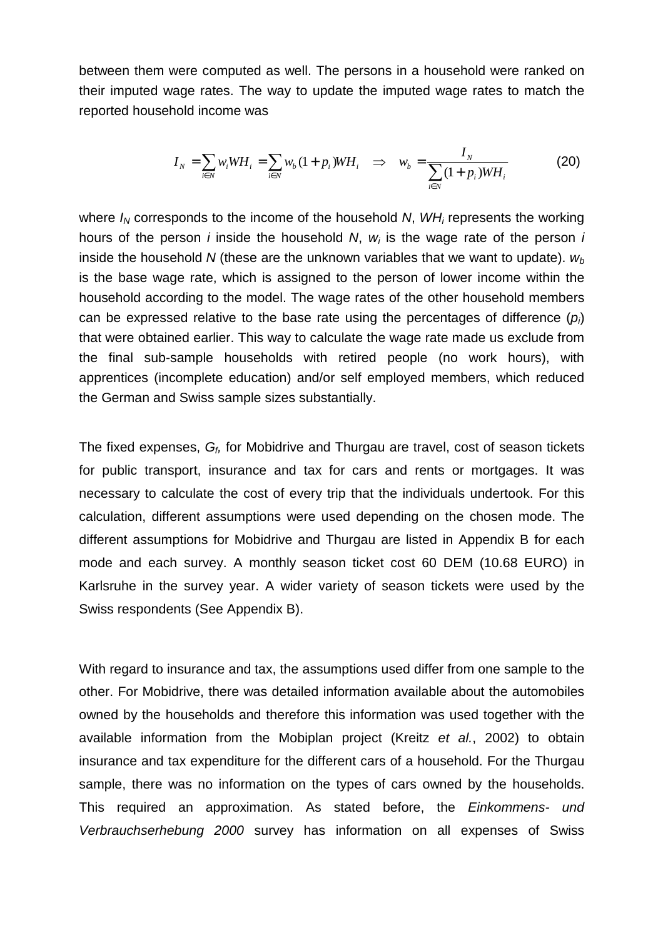between them were computed as well. The persons in a household were ranked on their imputed wage rates. The way to update the imputed wage rates to match the reported household income was

$$
I_N = \sum_{i \in N} w_i W H_i = \sum_{i \in N} w_b (1 + p_i) W H_i \quad \Rightarrow \quad w_b = \frac{I_N}{\sum_{i \in N} (1 + p_i) W H_i} \tag{20}
$$

where  $I_N$  corresponds to the income of the household N,  $WH_i$  represents the working hours of the person *i* inside the household N,  $w_i$  is the wage rate of the person *i* inside the household N (these are the unknown variables that we want to update).  $w_b$ is the base wage rate, which is assigned to the person of lower income within the household according to the model. The wage rates of the other household members can be expressed relative to the base rate using the percentages of difference  $(p_i)$ that were obtained earlier. This way to calculate the wage rate made us exclude from the final sub-sample households with retired people (no work hours), with apprentices (incomplete education) and/or self employed members, which reduced the German and Swiss sample sizes substantially.

The fixed expenses,  $G_f$ , for Mobidrive and Thurgau are travel, cost of season tickets for public transport, insurance and tax for cars and rents or mortgages. It was necessary to calculate the cost of every trip that the individuals undertook. For this calculation, different assumptions were used depending on the chosen mode. The different assumptions for Mobidrive and Thurgau are listed in Appendix B for each mode and each survey. A monthly season ticket cost 60 DEM (10.68 EURO) in Karlsruhe in the survey year. A wider variety of season tickets were used by the Swiss respondents (See Appendix B).

With regard to insurance and tax, the assumptions used differ from one sample to the other. For Mobidrive, there was detailed information available about the automobiles owned by the households and therefore this information was used together with the available information from the Mobiplan project (Kreitz et al., 2002) to obtain insurance and tax expenditure for the different cars of a household. For the Thurgau sample, there was no information on the types of cars owned by the households. This required an approximation. As stated before, the Einkommens- und Verbrauchserhebung 2000 survey has information on all expenses of Swiss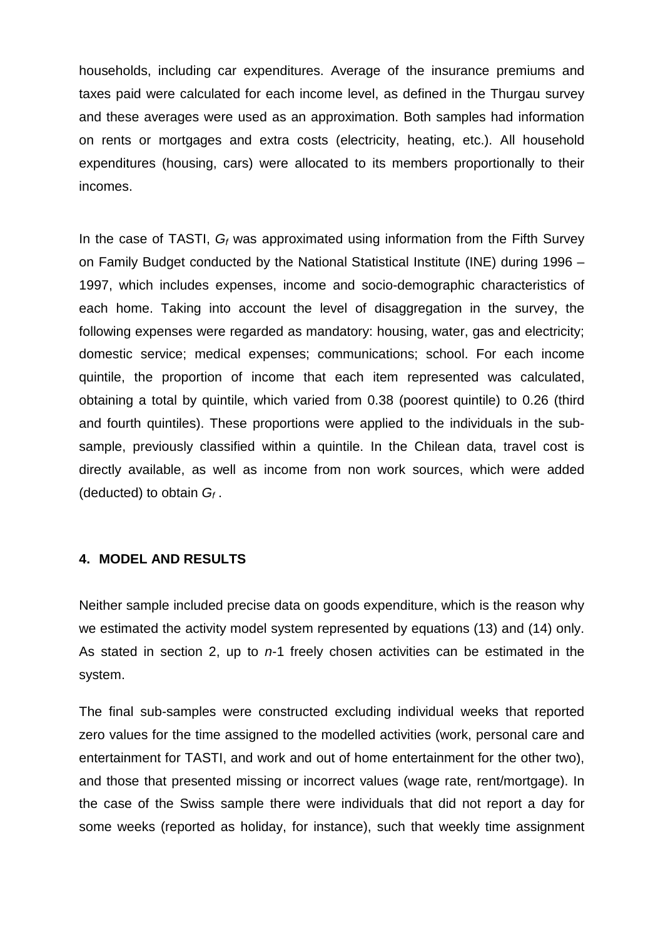households, including car expenditures. Average of the insurance premiums and taxes paid were calculated for each income level, as defined in the Thurgau survey and these averages were used as an approximation. Both samples had information on rents or mortgages and extra costs (electricity, heating, etc.). All household expenditures (housing, cars) were allocated to its members proportionally to their incomes.

In the case of TASTI,  $G_f$  was approximated using information from the Fifth Survey on Family Budget conducted by the National Statistical Institute (INE) during 1996 – 1997, which includes expenses, income and socio-demographic characteristics of each home. Taking into account the level of disaggregation in the survey, the following expenses were regarded as mandatory: housing, water, gas and electricity; domestic service; medical expenses; communications; school. For each income quintile, the proportion of income that each item represented was calculated, obtaining a total by quintile, which varied from 0.38 (poorest quintile) to 0.26 (third and fourth quintiles). These proportions were applied to the individuals in the subsample, previously classified within a quintile. In the Chilean data, travel cost is directly available, as well as income from non work sources, which were added (deducted) to obtain  $G_f$ .

#### **4. MODEL AND RESULTS**

Neither sample included precise data on goods expenditure, which is the reason why we estimated the activity model system represented by equations (13) and (14) only. As stated in section 2, up to  $n-1$  freely chosen activities can be estimated in the system.

The final sub-samples were constructed excluding individual weeks that reported zero values for the time assigned to the modelled activities (work, personal care and entertainment for TASTI, and work and out of home entertainment for the other two), and those that presented missing or incorrect values (wage rate, rent/mortgage). In the case of the Swiss sample there were individuals that did not report a day for some weeks (reported as holiday, for instance), such that weekly time assignment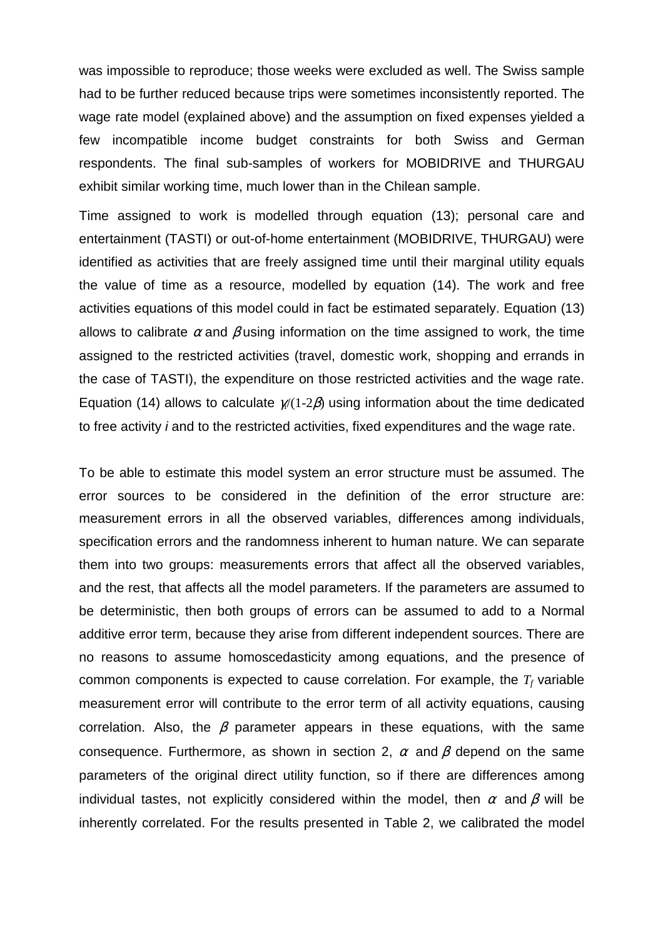was impossible to reproduce; those weeks were excluded as well. The Swiss sample had to be further reduced because trips were sometimes inconsistently reported. The wage rate model (explained above) and the assumption on fixed expenses yielded a few incompatible income budget constraints for both Swiss and German respondents. The final sub-samples of workers for MOBIDRIVE and THURGAU exhibit similar working time, much lower than in the Chilean sample.

Time assigned to work is modelled through equation (13); personal care and entertainment (TASTI) or out-of-home entertainment (MOBIDRIVE, THURGAU) were identified as activities that are freely assigned time until their marginal utility equals the value of time as a resource, modelled by equation (14). The work and free activities equations of this model could in fact be estimated separately. Equation (13) allows to calibrate  $\alpha$  and  $\beta$  using information on the time assigned to work, the time assigned to the restricted activities (travel, domestic work, shopping and errands in the case of TASTI), the expenditure on those restricted activities and the wage rate. Equation (14) allows to calculate  $\frac{\chi}{1-2\beta}$  using information about the time dedicated to free activity i and to the restricted activities, fixed expenditures and the wage rate.

To be able to estimate this model system an error structure must be assumed. The error sources to be considered in the definition of the error structure are: measurement errors in all the observed variables, differences among individuals, specification errors and the randomness inherent to human nature. We can separate them into two groups: measurements errors that affect all the observed variables, and the rest, that affects all the model parameters. If the parameters are assumed to be deterministic, then both groups of errors can be assumed to add to a Normal additive error term, because they arise from different independent sources. There are no reasons to assume homoscedasticity among equations, and the presence of common components is expected to cause correlation. For example, the *T<sup>f</sup>* variable measurement error will contribute to the error term of all activity equations, causing correlation. Also, the  $\beta$  parameter appears in these equations, with the same consequence. Furthermore, as shown in section 2,  $\alpha$  and  $\beta$  depend on the same parameters of the original direct utility function, so if there are differences among individual tastes, not explicitly considered within the model, then  $\alpha$  and  $\beta$  will be inherently correlated. For the results presented in Table 2, we calibrated the model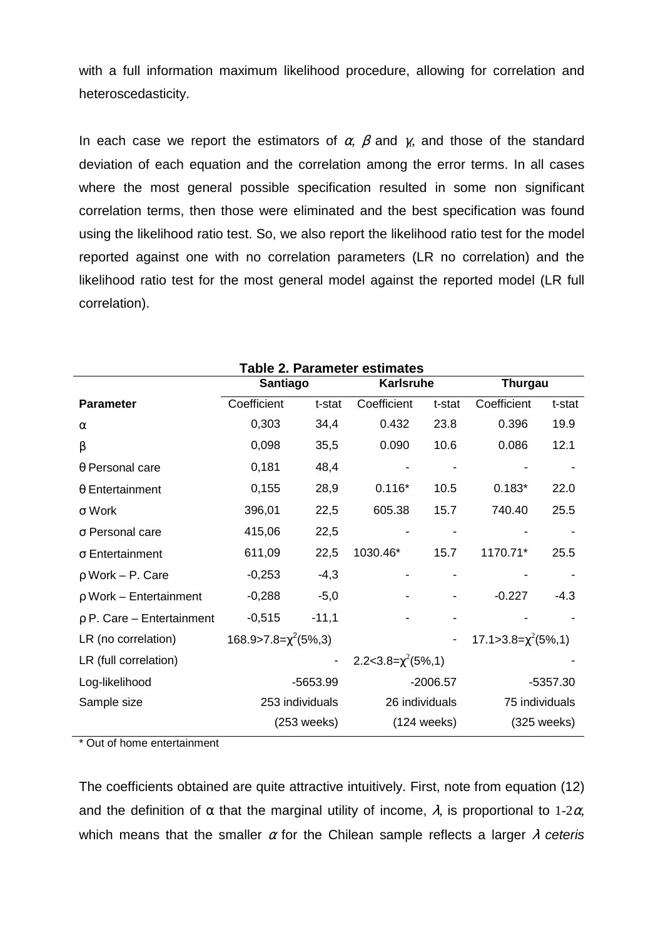with a full information maximum likelihood procedure, allowing for correlation and heteroscedasticity.

In each case we report the estimators of  $\alpha$ ,  $\beta$  and  $\gamma$ , and those of the standard deviation of each equation and the correlation among the error terms. In all cases where the most general possible specification resulted in some non significant correlation terms, then those were eliminated and the best specification was found using the likelihood ratio test. So, we also report the likelihood ratio test for the model reported against one with no correlation parameters (LR no correlation) and the likelihood ratio test for the most general model against the reported model (LR full correlation).

| Taple 2. Parameter estimates   |                                |                 |                          |                       |                           |               |  |
|--------------------------------|--------------------------------|-----------------|--------------------------|-----------------------|---------------------------|---------------|--|
|                                | Santiago                       |                 | <b>Karlsruhe</b>         |                       | <b>Thurgau</b>            |               |  |
| <b>Parameter</b>               | Coefficient                    | t-stat          | Coefficient              | t-stat                | Coefficient               | t-stat        |  |
| $\alpha$                       | 0,303                          | 34,4            | 0.432                    | 23.8                  | 0.396                     | 19.9          |  |
| β                              | 0,098                          | 35,5            | 0.090                    | 10.6                  | 0.086                     | 12.1          |  |
| $\theta$ Personal care         | 0,181                          | 48,4            |                          |                       |                           |               |  |
| $\theta$ Entertainment         | 0,155                          | 28,9            | $0.116*$                 | 10.5                  | $0.183*$                  | 22.0          |  |
| $\sigma$ Work                  | 396,01                         | 22,5            | 605.38                   | 15.7                  | 740.40                    | 25.5          |  |
| $\sigma$ Personal care         | 415,06                         | 22,5            |                          |                       |                           |               |  |
| $\sigma$ Entertainment         | 611,09                         | 22,5            | 1030.46*                 | 15.7                  | 1170.71*                  | 25.5          |  |
| $\rho$ Work – P. Care          | $-0,253$                       | $-4,3$          |                          |                       |                           |               |  |
| $\rho$ Work – Entertainment    | $-0,288$                       | $-5,0$          |                          |                       | $-0.227$                  | $-4.3$        |  |
| $\rho$ P. Care – Entertainment | $-0,515$                       | $-11,1$         |                          |                       |                           |               |  |
| LR (no correlation)            | $168.9 > 7.8 = \chi^2(5\%, 3)$ |                 |                          |                       | 17.1>3.8= $\chi^2$ (5%,1) |               |  |
| LR (full correlation)          |                                |                 | 2.2<3.8= $\chi^2$ (5%,1) |                       |                           |               |  |
| Log-likelihood                 |                                | -5653.99        |                          | $-2006.57$            |                           | $-5357.30$    |  |
| Sample size                    |                                | 253 individuals | 26 individuals           |                       | 75 individuals            |               |  |
|                                |                                | $(253$ weeks)   |                          | $(124 \text{ weeks})$ |                           | $(325$ weeks) |  |

**Table 2. Parameter estimates**

\* Out of home entertainment

The coefficients obtained are quite attractive intuitively. First, note from equation (12) and the definition of  $\alpha$  that the marginal utility of income,  $\lambda$ , is proportional to 1-2 $\alpha$ , which means that the smaller  $\alpha$  for the Chilean sample reflects a larger  $\lambda$  ceteris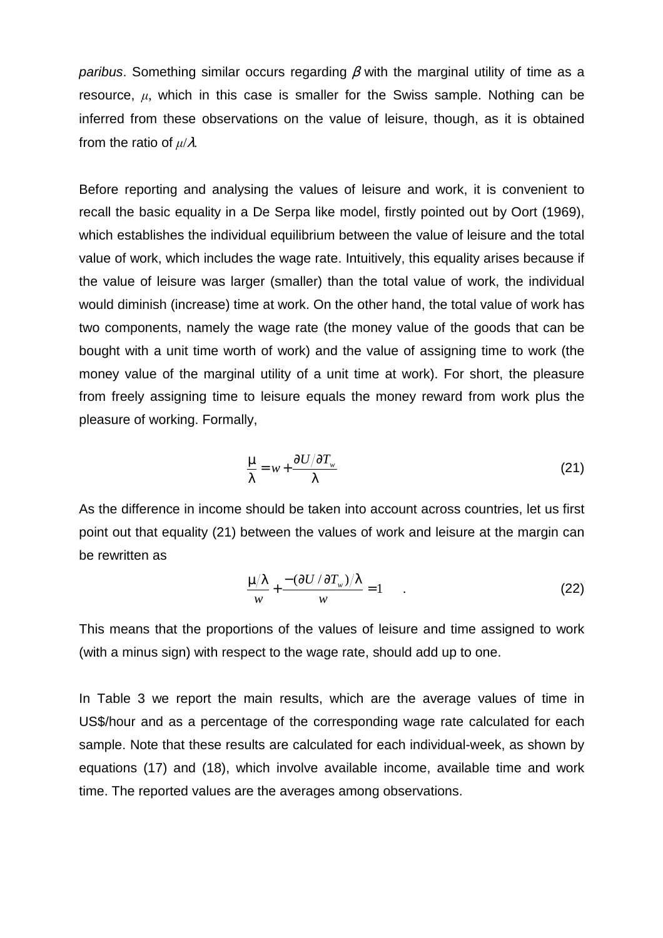paribus. Something similar occurs regarding  $\beta$  with the marginal utility of time as a resource,  $\mu$ , which in this case is smaller for the Swiss sample. Nothing can be inferred from these observations on the value of leisure, though, as it is obtained from the ratio of µ/λ*.*

Before reporting and analysing the values of leisure and work, it is convenient to recall the basic equality in a De Serpa like model, firstly pointed out by Oort (1969), which establishes the individual equilibrium between the value of leisure and the total value of work, which includes the wage rate. Intuitively, this equality arises because if the value of leisure was larger (smaller) than the total value of work, the individual would diminish (increase) time at work. On the other hand, the total value of work has two components, namely the wage rate (the money value of the goods that can be bought with a unit time worth of work) and the value of assigning time to work (the money value of the marginal utility of a unit time at work). For short, the pleasure from freely assigning time to leisure equals the money reward from work plus the pleasure of working. Formally,

$$
\frac{\mu}{\lambda} = w + \frac{\partial U / \partial T_w}{\lambda} \tag{21}
$$

As the difference in income should be taken into account across countries, let us first point out that equality (21) between the values of work and leisure at the margin can be rewritten as

$$
\frac{\mu/\lambda}{w} + \frac{-(\partial U/\partial T_w)/\lambda}{w} = 1 \tag{22}
$$

This means that the proportions of the values of leisure and time assigned to work (with a minus sign) with respect to the wage rate, should add up to one.

In Table 3 we report the main results, which are the average values of time in US\$/hour and as a percentage of the corresponding wage rate calculated for each sample. Note that these results are calculated for each individual-week, as shown by equations (17) and (18), which involve available income, available time and work time. The reported values are the averages among observations.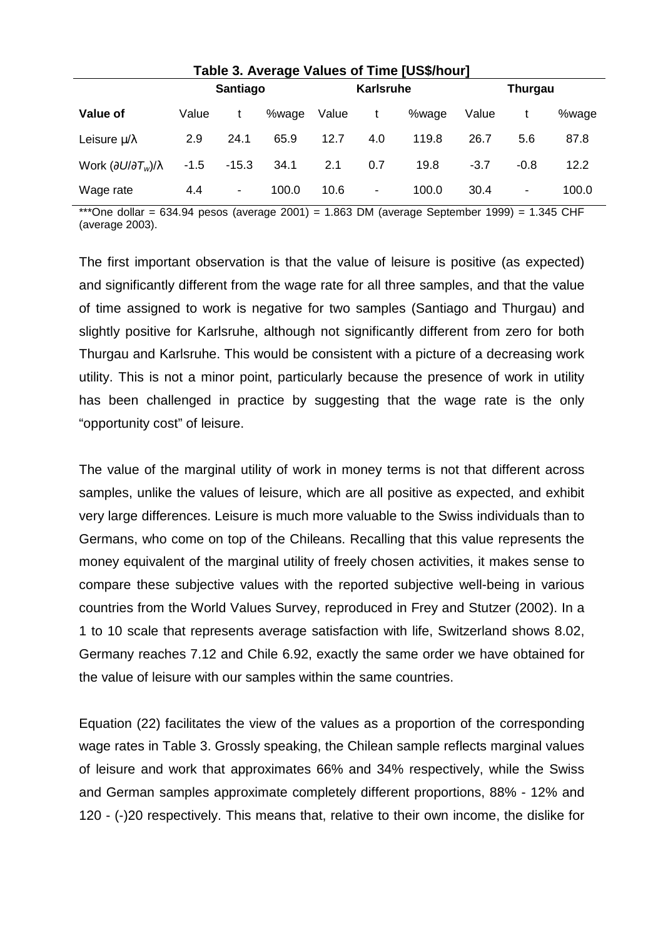| Table 3. Average Values of Time [US\$/hour]         |        |                          |           |       |     |                |        |        |       |
|-----------------------------------------------------|--------|--------------------------|-----------|-------|-----|----------------|--------|--------|-------|
| <b>Santiago</b>                                     |        |                          | Karlsruhe |       |     | <b>Thurgau</b> |        |        |       |
| Value of                                            | Value  |                          | %wage     | Value |     | %wage          | Value  |        | %wage |
| Leisure $\mu/\lambda$                               | 2.9    | 24.1                     | 65.9      | 12.7  | 4.0 | 119.8          | 26.7   | 5.6    | 87.8  |
| Work $\left(\partial U/\partial T_w\right)/\lambda$ | $-1.5$ | $-15.3$                  | 34.1      | 2.1   | 0.7 | 19.8           | $-3.7$ | $-0.8$ | 12.2  |
| Wage rate                                           | 4.4    | $\overline{\phantom{a}}$ | 100.0     | 10.6  | ٠   | 100.0          | 30.4   |        | 100.0 |

\*\*\*One dollar = 634.94 pesos (average 2001) = 1.863 DM (average September 1999) = 1.345 CHF (average 2003).

The first important observation is that the value of leisure is positive (as expected) and significantly different from the wage rate for all three samples, and that the value of time assigned to work is negative for two samples (Santiago and Thurgau) and slightly positive for Karlsruhe, although not significantly different from zero for both Thurgau and Karlsruhe. This would be consistent with a picture of a decreasing work utility. This is not a minor point, particularly because the presence of work in utility has been challenged in practice by suggesting that the wage rate is the only "opportunity cost" of leisure.

The value of the marginal utility of work in money terms is not that different across samples, unlike the values of leisure, which are all positive as expected, and exhibit very large differences. Leisure is much more valuable to the Swiss individuals than to Germans, who come on top of the Chileans. Recalling that this value represents the money equivalent of the marginal utility of freely chosen activities, it makes sense to compare these subjective values with the reported subjective well-being in various countries from the World Values Survey, reproduced in Frey and Stutzer (2002). In a 1 to 10 scale that represents average satisfaction with life, Switzerland shows 8.02, Germany reaches 7.12 and Chile 6.92, exactly the same order we have obtained for the value of leisure with our samples within the same countries.

Equation (22) facilitates the view of the values as a proportion of the corresponding wage rates in Table 3. Grossly speaking, the Chilean sample reflects marginal values of leisure and work that approximates 66% and 34% respectively, while the Swiss and German samples approximate completely different proportions, 88% - 12% and 120 - (-)20 respectively. This means that, relative to their own income, the dislike for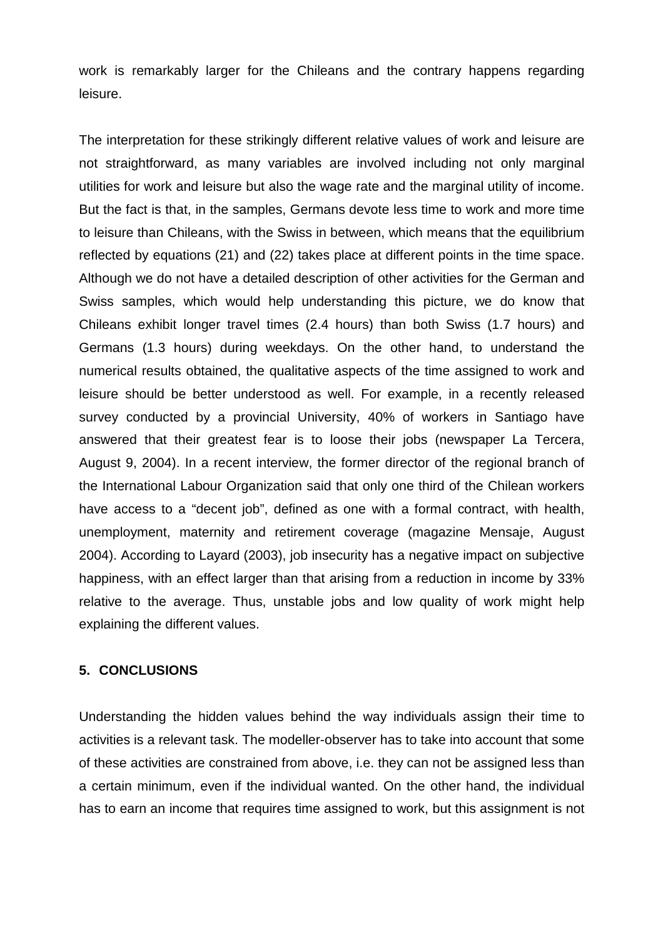work is remarkably larger for the Chileans and the contrary happens regarding leisure.

The interpretation for these strikingly different relative values of work and leisure are not straightforward, as many variables are involved including not only marginal utilities for work and leisure but also the wage rate and the marginal utility of income. But the fact is that, in the samples, Germans devote less time to work and more time to leisure than Chileans, with the Swiss in between, which means that the equilibrium reflected by equations (21) and (22) takes place at different points in the time space. Although we do not have a detailed description of other activities for the German and Swiss samples, which would help understanding this picture, we do know that Chileans exhibit longer travel times (2.4 hours) than both Swiss (1.7 hours) and Germans (1.3 hours) during weekdays. On the other hand, to understand the numerical results obtained, the qualitative aspects of the time assigned to work and leisure should be better understood as well. For example, in a recently released survey conducted by a provincial University, 40% of workers in Santiago have answered that their greatest fear is to loose their jobs (newspaper La Tercera, August 9, 2004). In a recent interview, the former director of the regional branch of the International Labour Organization said that only one third of the Chilean workers have access to a "decent job", defined as one with a formal contract, with health, unemployment, maternity and retirement coverage (magazine Mensaje, August 2004). According to Layard (2003), job insecurity has a negative impact on subjective happiness, with an effect larger than that arising from a reduction in income by 33% relative to the average. Thus, unstable jobs and low quality of work might help explaining the different values.

#### **5. CONCLUSIONS**

Understanding the hidden values behind the way individuals assign their time to activities is a relevant task. The modeller-observer has to take into account that some of these activities are constrained from above, i.e. they can not be assigned less than a certain minimum, even if the individual wanted. On the other hand, the individual has to earn an income that requires time assigned to work, but this assignment is not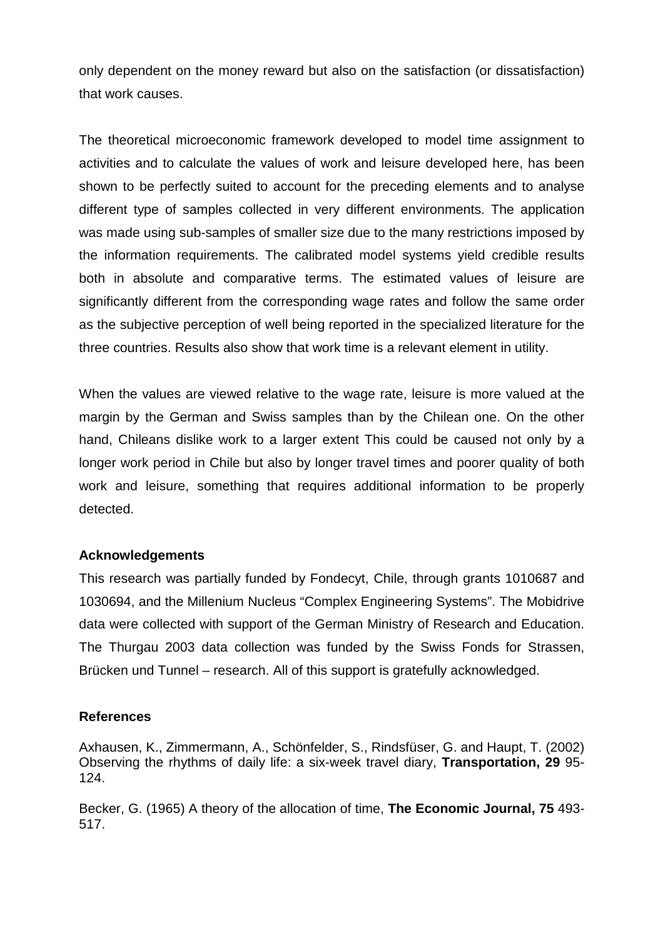only dependent on the money reward but also on the satisfaction (or dissatisfaction) that work causes.

The theoretical microeconomic framework developed to model time assignment to activities and to calculate the values of work and leisure developed here, has been shown to be perfectly suited to account for the preceding elements and to analyse different type of samples collected in very different environments. The application was made using sub-samples of smaller size due to the many restrictions imposed by the information requirements. The calibrated model systems yield credible results both in absolute and comparative terms. The estimated values of leisure are significantly different from the corresponding wage rates and follow the same order as the subjective perception of well being reported in the specialized literature for the three countries. Results also show that work time is a relevant element in utility.

When the values are viewed relative to the wage rate, leisure is more valued at the margin by the German and Swiss samples than by the Chilean one. On the other hand, Chileans dislike work to a larger extent This could be caused not only by a longer work period in Chile but also by longer travel times and poorer quality of both work and leisure, something that requires additional information to be properly detected.

#### **Acknowledgements**

This research was partially funded by Fondecyt, Chile, through grants 1010687 and 1030694, and the Millenium Nucleus "Complex Engineering Systems". The Mobidrive data were collected with support of the German Ministry of Research and Education. The Thurgau 2003 data collection was funded by the Swiss Fonds for Strassen, Brücken und Tunnel – research. All of this support is gratefully acknowledged.

#### **References**

Axhausen, K., Zimmermann, A., Schönfelder, S., Rindsfüser, G. and Haupt, T. (2002) Observing the rhythms of daily life: a six-week travel diary, **Transportation, 29** 95- 124.

Becker, G. (1965) A theory of the allocation of time, **The Economic Journal, 75** 493- 517.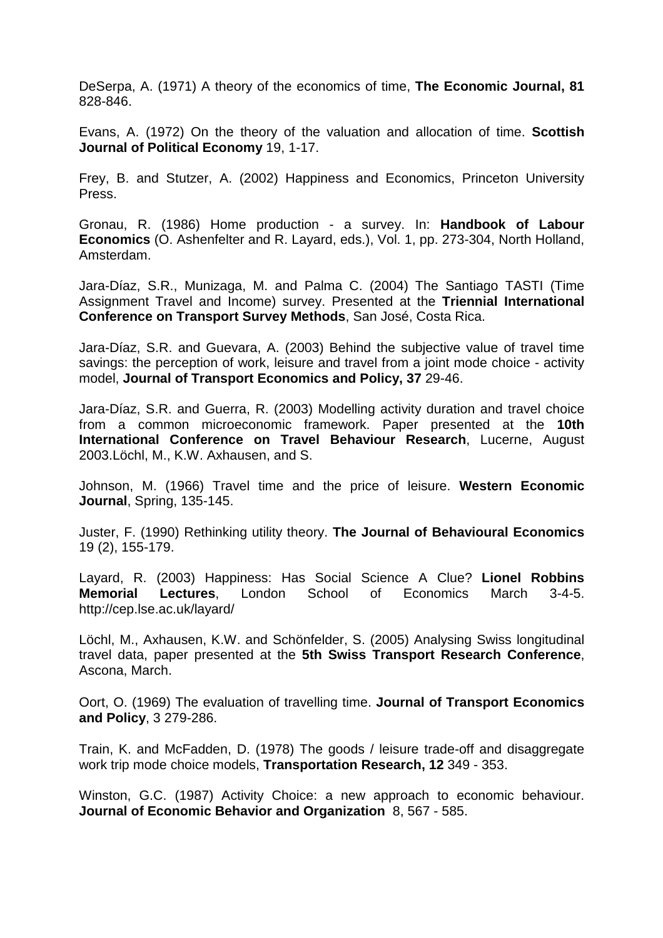DeSerpa, A. (1971) A theory of the economics of time, **The Economic Journal, 81** 828-846.

Evans, A. (1972) On the theory of the valuation and allocation of time. **Scottish Journal of Political Economy** 19, 1-17.

Frey, B. and Stutzer, A. (2002) Happiness and Economics, Princeton University Press.

Gronau, R. (1986) Home production - a survey. In: **Handbook of Labour Economics** (O. Ashenfelter and R. Layard, eds.), Vol. 1, pp. 273-304, North Holland, Amsterdam.

Jara-Díaz, S.R., Munizaga, M. and Palma C. (2004) The Santiago TASTI (Time Assignment Travel and Income) survey. Presented at the **Triennial International Conference on Transport Survey Methods**, San José, Costa Rica.

Jara-Díaz, S.R. and Guevara, A. (2003) Behind the subjective value of travel time savings: the perception of work, leisure and travel from a joint mode choice - activity model, **Journal of Transport Economics and Policy, 37** 29-46.

Jara-Díaz, S.R. and Guerra, R. (2003) Modelling activity duration and travel choice from a common microeconomic framework. Paper presented at the **10th International Conference on Travel Behaviour Research**, Lucerne, August 2003.Löchl, M., K.W. Axhausen, and S.

Johnson, M. (1966) Travel time and the price of leisure. **Western Economic Journal**, Spring, 135-145.

Juster, F. (1990) Rethinking utility theory. **The Journal of Behavioural Economics** 19 (2), 155-179.

Layard, R. (2003) Happiness: Has Social Science A Clue? **Lionel Robbins Memorial Lectures**, London School of Economics March 3-4-5. http://cep.lse.ac.uk/layard/

Löchl, M., Axhausen, K.W. and Schönfelder, S. (2005) Analysing Swiss longitudinal travel data, paper presented at the **5th Swiss Transport Research Conference**, Ascona, March.

Oort, O. (1969) The evaluation of travelling time. **Journal of Transport Economics and Policy**, 3 279-286.

Train, K. and McFadden, D. (1978) The goods / leisure trade-off and disaggregate work trip mode choice models, **Transportation Research, 12** 349 - 353.

Winston, G.C. (1987) Activity Choice: a new approach to economic behaviour. **Journal of Economic Behavior and Organization** 8, 567 - 585.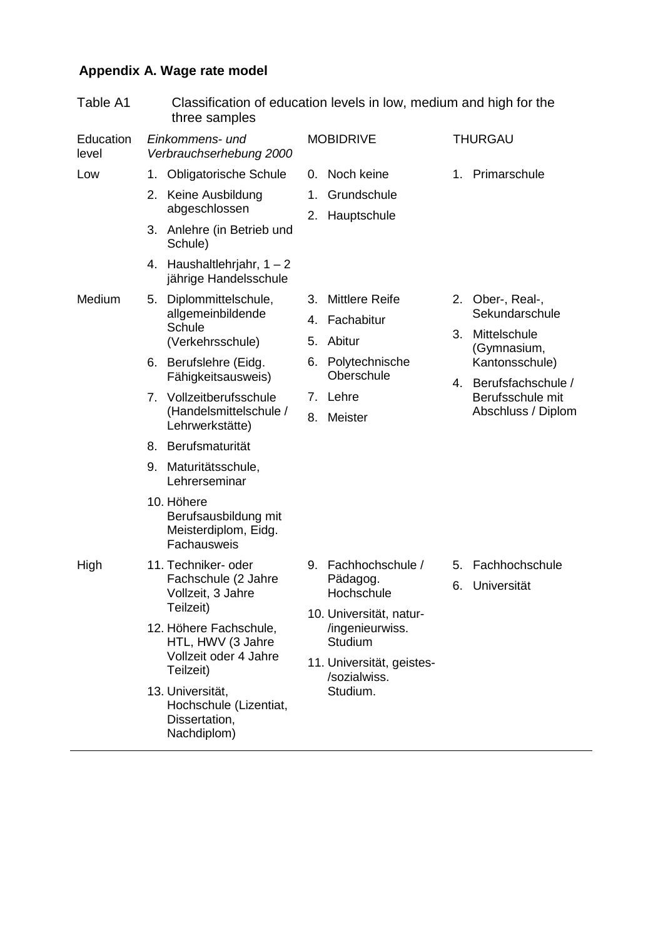# **Appendix A. Wage rate model**

| Table A1           |                                                                                                                                                                                          | Classification of education levels in low, medium and high for the<br>three samples |                                                                                                   |                                                                          |                                                                   |                                                          |
|--------------------|------------------------------------------------------------------------------------------------------------------------------------------------------------------------------------------|-------------------------------------------------------------------------------------|---------------------------------------------------------------------------------------------------|--------------------------------------------------------------------------|-------------------------------------------------------------------|----------------------------------------------------------|
| Education<br>level |                                                                                                                                                                                          | Einkommens- und<br>Verbrauchserhebung 2000                                          |                                                                                                   | <b>MOBIDRIVE</b>                                                         |                                                                   | <b>THURGAU</b>                                           |
| Low                | <b>Obligatorische Schule</b><br>1.<br>Keine Ausbildung<br>2.<br>abgeschlossen<br>3. Anlehre (in Betrieb und                                                                              | 1.                                                                                  | 0. Noch keine<br>Grundschule<br>2. Hauptschule                                                    |                                                                          | 1. Primarschule                                                   |                                                          |
| Medium             |                                                                                                                                                                                          | Schule)<br>4. Haushaltlehrjahr, $1 - 2$<br>jährige Handelsschule                    |                                                                                                   |                                                                          |                                                                   |                                                          |
|                    | 5.                                                                                                                                                                                       | Diplommittelschule,<br>allgemeinbildende<br>Schule<br>(Verkehrsschule)              | 3. Mittlere Reife<br>4. Fachabitur<br>Abitur<br>5.<br>6. Polytechnische<br>Oberschule<br>7. Lehre | 3.                                                                       | 2. Ober-, Real-,<br>Sekundarschule<br>Mittelschule<br>(Gymnasium, |                                                          |
|                    | 6. Berufslehre (Eidg.<br>Fähigkeitsausweis)<br>Vollzeitberufsschule<br>7.<br>(Handelsmittelschule /<br>Lehrwerkstätte)<br>8. Berufsmaturität<br>Maturitätsschule,<br>9.<br>Lehrerseminar |                                                                                     |                                                                                                   |                                                                          | 4.                                                                | Kantonsschule)<br>Berufsfachschule /<br>Berufsschule mit |
|                    |                                                                                                                                                                                          | Meister<br>8.                                                                       |                                                                                                   |                                                                          | Abschluss / Diplom                                                |                                                          |
|                    |                                                                                                                                                                                          | 10. Höhere<br>Berufsausbildung mit<br>Meisterdiplom, Eidg.<br>Fachausweis           |                                                                                                   |                                                                          |                                                                   |                                                          |
| High               |                                                                                                                                                                                          | 11. Techniker- oder<br>Fachschule (2 Jahre<br>Vollzeit, 3 Jahre<br>Teilzeit)        |                                                                                                   | 9. Fachhochschule /<br>Pädagog.<br>Hochschule<br>10. Universität, natur- |                                                                   | 5. Fachhochschule<br>6. Universität                      |
|                    |                                                                                                                                                                                          | 12. Höhere Fachschule,<br>HTL, HWV (3 Jahre<br>Vollzeit oder 4 Jahre<br>Teilzeit)   |                                                                                                   | /ingenieurwiss.<br>Studium<br>11. Universität, geistes-<br>/sozialwiss.  |                                                                   |                                                          |
|                    |                                                                                                                                                                                          | 13. Universität,<br>Hochschule (Lizentiat,<br>Dissertation,<br>Nachdiplom)          | Studium.                                                                                          |                                                                          |                                                                   |                                                          |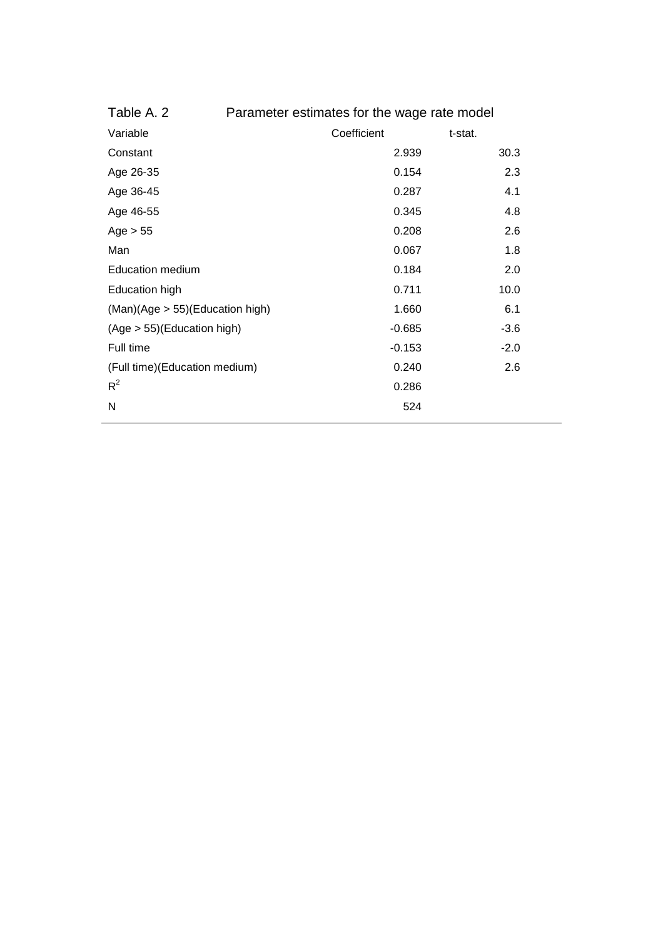| Table A. 2                      | Parameter estimates for the wage rate model |             |         |        |  |
|---------------------------------|---------------------------------------------|-------------|---------|--------|--|
| Variable                        |                                             | Coefficient | t-stat. |        |  |
| Constant                        |                                             | 2.939       |         | 30.3   |  |
| Age 26-35                       |                                             | 0.154       |         | 2.3    |  |
| Age 36-45                       |                                             | 0.287       |         | 4.1    |  |
| Age 46-55                       |                                             | 0.345       |         | 4.8    |  |
| Age $> 55$                      |                                             | 0.208       |         | 2.6    |  |
| Man                             |                                             | 0.067       |         | 1.8    |  |
| <b>Education medium</b>         |                                             | 0.184       |         | 2.0    |  |
| <b>Education high</b>           |                                             | 0.711       |         | 10.0   |  |
| (Man)(Age > 55)(Education high) |                                             | 1.660       |         | 6.1    |  |
| (Age > 55)(Education high)      |                                             | $-0.685$    |         | $-3.6$ |  |
| Full time                       |                                             | $-0.153$    |         | $-2.0$ |  |
| (Full time) (Education medium)  |                                             | 0.240       |         | 2.6    |  |
| $R^2$                           |                                             | 0.286       |         |        |  |
| N                               |                                             | 524         |         |        |  |
|                                 |                                             |             |         |        |  |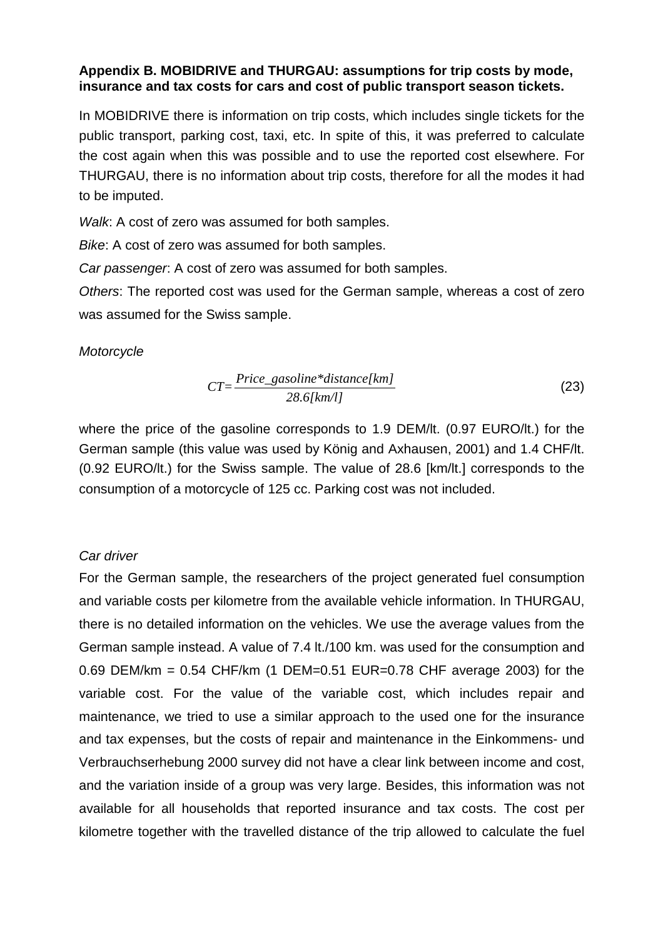# **Appendix B. MOBIDRIVE and THURGAU: assumptions for trip costs by mode, insurance and tax costs for cars and cost of public transport season tickets.**

In MOBIDRIVE there is information on trip costs, which includes single tickets for the public transport, parking cost, taxi, etc. In spite of this, it was preferred to calculate the cost again when this was possible and to use the reported cost elsewhere. For THURGAU, there is no information about trip costs, therefore for all the modes it had to be imputed.

Walk: A cost of zero was assumed for both samples.

Bike: A cost of zero was assumed for both samples.

Car passenger: A cost of zero was assumed for both samples.

Others: The reported cost was used for the German sample, whereas a cost of zero was assumed for the Swiss sample.

# **Motorcycle**

$$
CT = \frac{Price\_gasoline*distance[km]}{28.6[km/l]}
$$
 (23)

where the price of the gasoline corresponds to 1.9 DEM/lt. (0.97 EURO/lt.) for the German sample (this value was used by König and Axhausen, 2001) and 1.4 CHF/lt. (0.92 EURO/lt.) for the Swiss sample. The value of 28.6 [km/lt.] corresponds to the consumption of a motorcycle of 125 cc. Parking cost was not included.

# Car driver

For the German sample, the researchers of the project generated fuel consumption and variable costs per kilometre from the available vehicle information. In THURGAU, there is no detailed information on the vehicles. We use the average values from the German sample instead. A value of 7.4 lt./100 km. was used for the consumption and 0.69 DEM/km = 0.54 CHF/km (1 DEM=0.51 EUR=0.78 CHF average 2003) for the variable cost. For the value of the variable cost, which includes repair and maintenance, we tried to use a similar approach to the used one for the insurance and tax expenses, but the costs of repair and maintenance in the Einkommens- und Verbrauchserhebung 2000 survey did not have a clear link between income and cost, and the variation inside of a group was very large. Besides, this information was not available for all households that reported insurance and tax costs. The cost per kilometre together with the travelled distance of the trip allowed to calculate the fuel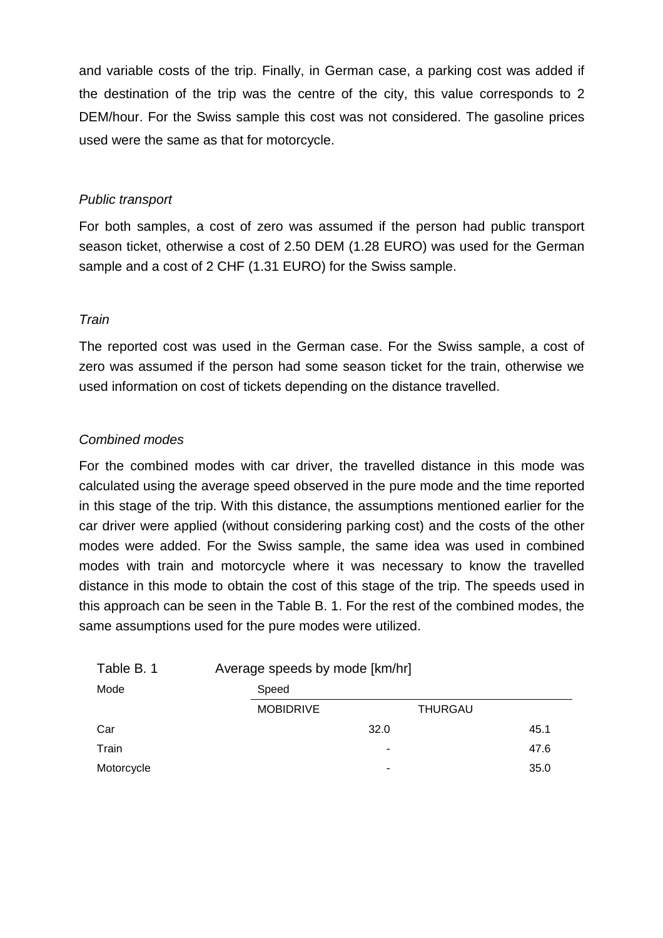and variable costs of the trip. Finally, in German case, a parking cost was added if the destination of the trip was the centre of the city, this value corresponds to 2 DEM/hour. For the Swiss sample this cost was not considered. The gasoline prices used were the same as that for motorcycle.

# Public transport

For both samples, a cost of zero was assumed if the person had public transport season ticket, otherwise a cost of 2.50 DEM (1.28 EURO) was used for the German sample and a cost of 2 CHF (1.31 EURO) for the Swiss sample.

# **Train**

The reported cost was used in the German case. For the Swiss sample, a cost of zero was assumed if the person had some season ticket for the train, otherwise we used information on cost of tickets depending on the distance travelled.

# Combined modes

For the combined modes with car driver, the travelled distance in this mode was calculated using the average speed observed in the pure mode and the time reported in this stage of the trip. With this distance, the assumptions mentioned earlier for the car driver were applied (without considering parking cost) and the costs of the other modes were added. For the Swiss sample, the same idea was used in combined modes with train and motorcycle where it was necessary to know the travelled distance in this mode to obtain the cost of this stage of the trip. The speeds used in this approach can be seen in the Table B. 1. For the rest of the combined modes, the same assumptions used for the pure modes were utilized.

| Table B. 1 | Average speeds by mode [km/hr] |                |      |  |
|------------|--------------------------------|----------------|------|--|
| Mode       | Speed                          |                |      |  |
|            | <b>MOBIDRIVE</b>               | <b>THURGAU</b> |      |  |
| Car        |                                | 32.0           | 45.1 |  |
| Train      |                                | ۰              | 47.6 |  |
| Motorcycle |                                | ۰              | 35.0 |  |